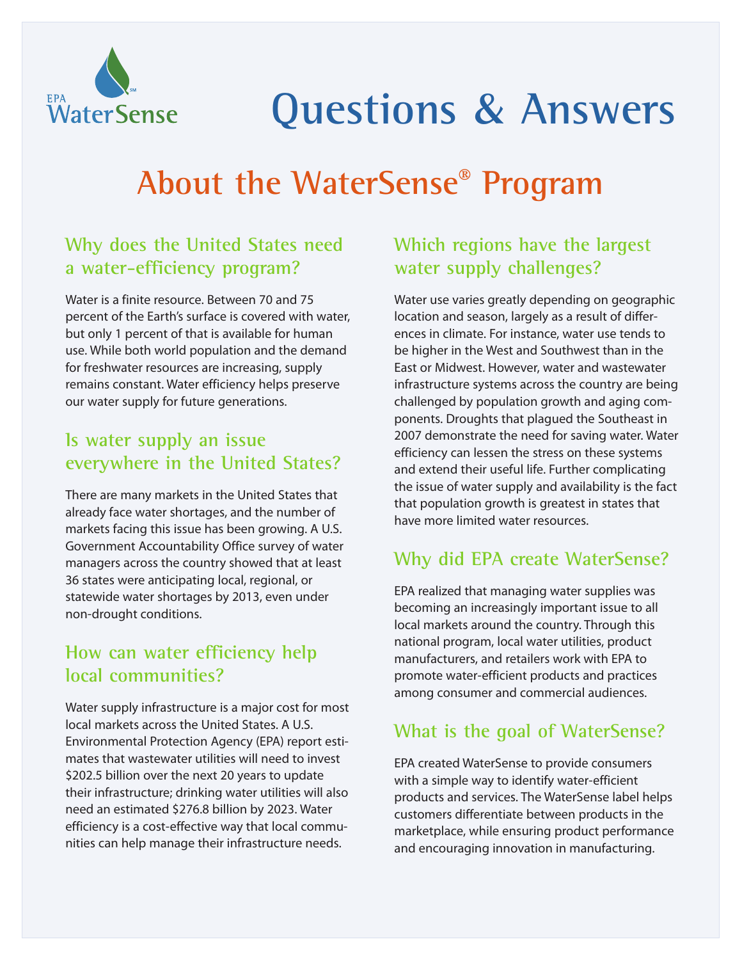

# **Questions & Answers**

# **About the WaterSense® Program**

# **Why does the United States need a water-efficiency program?**

Water is a finite resource. Between 70 and 75 percent of the Earth's surface is covered with water, but only 1 percent of that is available for human use. While both world population and the demand for freshwater resources are increasing, supply remains constant. Water efficiency helps preserve our water supply for future generations.

#### **Is water supply an issue everywhere in the United States?**

There are many markets in the United States that already face water shortages, and the number of markets facing this issue has been growing. A U.S. Government Accountability Office survey of water managers across the country showed that at least 36 states were anticipating local, regional, or statewide water shortages by 2013, even under non-drought conditions.

#### **How can water efficiency help local communities?**

Water supply infrastructure is a major cost for most local markets across the United States. A U.S. Environmental Protection Agency (EPA) report estimates that wastewater utilities will need to invest \$202.5 billion over the next 20 years to update their infrastructure; drinking water utilities will also need an estimated \$276.8 billion by 2023. Water efficiency is a cost-effective way that local communities can help manage their infrastructure needs.

# **Which regions have the largest water supply challenges?**

Water use varies greatly depending on geographic location and season, largely as a result of differences in climate. For instance, water use tends to be higher in the West and Southwest than in the East or Midwest. However, water and wastewater infrastructure systems across the country are being challenged by population growth and aging components. Droughts that plagued the Southeast in 2007 demonstrate the need for saving water. Water efficiency can lessen the stress on these systems and extend their useful life. Further complicating the issue of water supply and availability is the fact that population growth is greatest in states that have more limited water resources.

# **Why did EPA create WaterSense?**

EPA realized that managing water supplies was becoming an increasingly important issue to all local markets around the country. Through this national program, local water utilities, product manufacturers, and retailers work with EPA to promote water-efficient products and practices among consumer and commercial audiences.

# **What is the goal of WaterSense?**

EPA created WaterSense to provide consumers with a simple way to identify water-efficient products and services. The WaterSense label helps customers differentiate between products in the marketplace, while ensuring product performance and encouraging innovation in manufacturing.